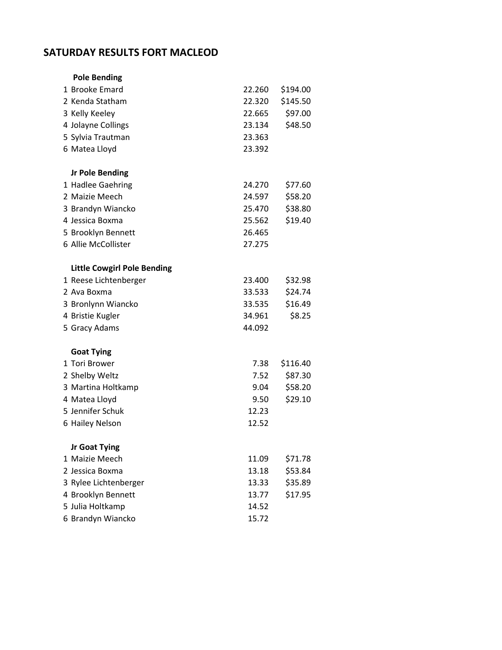## **SATURDAY RESULTS FORT MACLEOD**

| <b>Pole Bending</b>                |        |          |
|------------------------------------|--------|----------|
| 1 Brooke Emard                     | 22.260 | \$194.00 |
| 2 Kenda Statham                    | 22.320 | \$145.50 |
| 3 Kelly Keeley                     | 22.665 | \$97.00  |
| 4 Jolayne Collings                 | 23.134 | \$48.50  |
| 5 Sylvia Trautman                  | 23.363 |          |
| 6 Matea Lloyd                      | 23.392 |          |
|                                    |        |          |
| <b>Jr Pole Bending</b>             |        |          |
| 1 Hadlee Gaehring                  | 24.270 | \$77.60  |
| 2 Maizie Meech                     | 24.597 | \$58.20  |
| 3 Brandyn Wiancko                  | 25.470 | \$38.80  |
| 4 Jessica Boxma                    | 25.562 | \$19.40  |
| 5 Brooklyn Bennett                 | 26.465 |          |
| 6 Allie McCollister                | 27.275 |          |
|                                    |        |          |
| <b>Little Cowgirl Pole Bending</b> |        |          |
| 1 Reese Lichtenberger              | 23.400 | \$32.98  |
| 2 Ava Boxma                        | 33.533 | \$24.74  |
| 3 Bronlynn Wiancko                 | 33.535 | \$16.49  |
| 4 Bristie Kugler                   | 34.961 | \$8.25   |
| 5 Gracy Adams                      | 44.092 |          |
|                                    |        |          |
| <b>Goat Tying</b>                  |        |          |
| 1 Tori Brower                      | 7.38   | \$116.40 |
| 2 Shelby Weltz                     | 7.52   | \$87.30  |
| 3 Martina Holtkamp                 | 9.04   | \$58.20  |
| 4 Matea Lloyd                      | 9.50   | \$29.10  |
| 5 Jennifer Schuk                   | 12.23  |          |
| 6 Hailey Nelson                    | 12.52  |          |
| Jr Goat Tying                      |        |          |
| 1 Maizie Meech                     | 11.09  | \$71.78  |
| 2 Jessica Boxma                    | 13.18  | \$53.84  |
| 3 Rylee Lichtenberger              | 13.33  | \$35.89  |
| 4 Brooklyn Bennett                 | 13.77  | \$17.95  |
| 5 Julia Holtkamp                   | 14.52  |          |
|                                    |        |          |
| 6 Brandyn Wiancko                  | 15.72  |          |